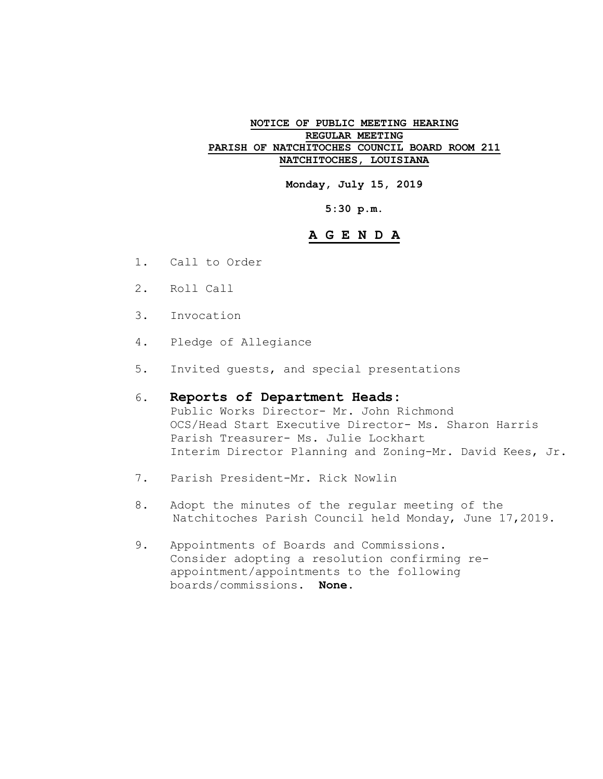#### **NOTICE OF PUBLIC MEETING HEARING REGULAR MEETING PARISH OF NATCHITOCHES COUNCIL BOARD ROOM 211 NATCHITOCHES, LOUISIANA**

**Monday, July 15, 2019**

**5:30 p.m.**

## **A G E N D A**

- 1. Call to Order
- 2. Roll Call
- 3. Invocation
- 4. Pledge of Allegiance
- 5. Invited guests, and special presentations

#### 6. **Reports of Department Heads:**

Public Works Director- Mr. John Richmond OCS/Head Start Executive Director- Ms. Sharon Harris Parish Treasurer- Ms. Julie Lockhart Interim Director Planning and Zoning-Mr. David Kees, Jr.

- 7. Parish President-Mr. Rick Nowlin
- 8. Adopt the minutes of the regular meeting of the Natchitoches Parish Council held Monday, June 17,2019.
- 9. Appointments of Boards and Commissions. Consider adopting a resolution confirming reappointment/appointments to the following boards/commissions. **None.**